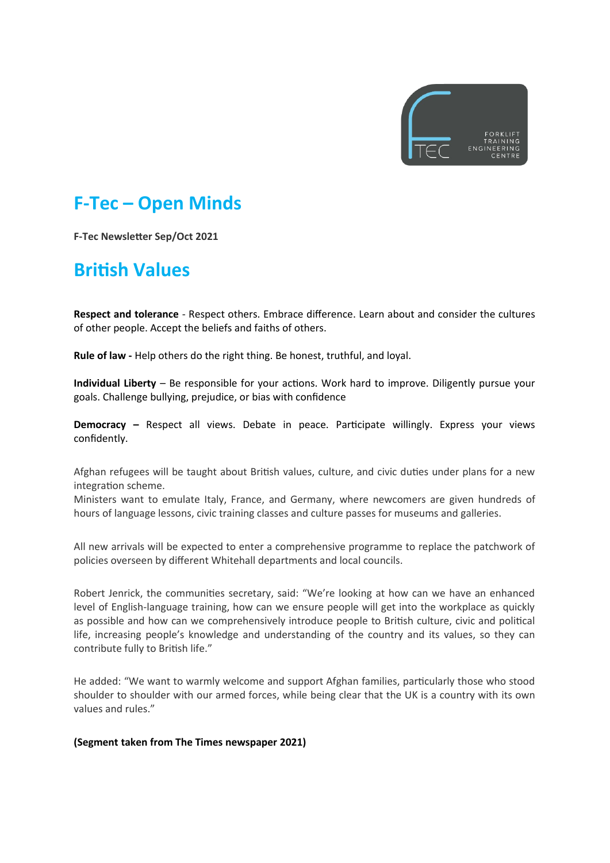

# **F-Tec – Open Minds**

**F-Tec Newsletter Sep/Oct 2021**

### **British Values**

**Respect and tolerance** - Respect others. Embrace difference. Learn about and consider the cultures of other people. Accept the beliefs and faiths of others.

**Rule of law -** Help others do the right thing. Be honest, truthful, and loyal.

**Individual Liberty** – Be responsible for your actions. Work hard to improve. Diligently pursue your goals. Challenge bullying, prejudice, or bias with confidence

**Democracy –** Respect all views. Debate in peace. Participate willingly. Express your views confidently.

Afghan refugees will be taught about British values, culture, and civic duties under plans for a new integration scheme.

Ministers want to emulate Italy, France, and Germany, where newcomers are given hundreds of hours of language lessons, civic training classes and culture passes for museums and galleries.

All new arrivals will be expected to enter a comprehensive programme to replace the patchwork of policies overseen by different Whitehall departments and local councils.

Robert Jenrick, the communities secretary, said: "We're looking at how can we have an enhanced level of English-language training, how can we ensure people will get into the workplace as quickly as possible and how can we comprehensively introduce people to British culture, civic and political life, increasing people's knowledge and understanding of the country and its values, so they can contribute fully to British life."

He added: "We want to warmly welcome and support Afghan families, particularly those who stood shoulder to shoulder with our armed forces, while being clear that the UK is a country with its own values and rules."

#### **(Segment taken from The Times newspaper 2021)**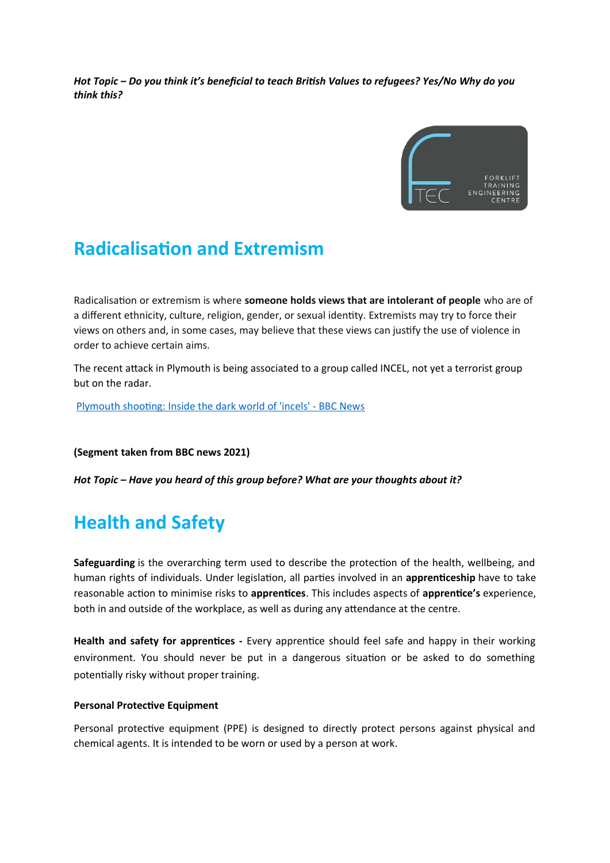*Hot Topic – Do you think it's beneficial to teach British Values to refugees? Yes/No Why do you think this?* 



### **Radicalisation and Extremism**

Radicalisation or extremism is where **someone holds views that are intolerant of people** who are of a different ethnicity, culture, religion, gender, or sexual identity. Extremists may try to force their views on others and, in some cases, may believe that these views can justify the use of violence in order to achieve certain aims.

The recent attack in Plymouth is being associated to a group called INCEL, not yet a terrorist group but on the radar.

[Plymouth shooting: Inside the dark world of 'incels' - BBC News](https://www.bbc.co.uk/news/blogs-trending-44053828)

**(Segment taken from BBC news 2021)** 

*Hot Topic – Have you heard of this group before? What are your thoughts about it?* 

# **Health and Safety**

**Safeguarding** is the overarching term used to describe the protection of the health, wellbeing, and human rights of individuals. Under legislation, all parties involved in an **apprenticeship** have to take reasonable action to minimise risks to **apprentices**. This includes aspects of **apprentice's** experience, both in and outside of the workplace, as well as during any attendance at the centre.

**Health and safety for apprentices -** Every apprentice should feel safe and happy in their working environment. You should never be put in a dangerous situation or be asked to do something potentially risky without proper training.

#### **Personal Protective Equipment**

Personal protective equipment (PPE) is designed to directly protect persons against physical and chemical agents. It is intended to be worn or used by a person at work.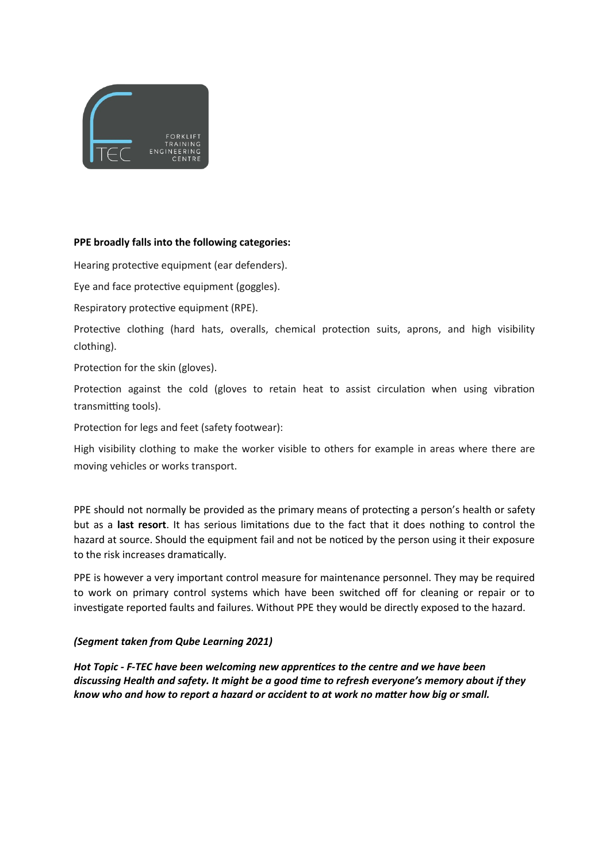

### **PPE broadly falls into the following categories:**

Hearing protective equipment (ear defenders).

Eye and face protective equipment (goggles).

Respiratory protective equipment (RPE).

Protective clothing (hard hats, overalls, chemical protection suits, aprons, and high visibility clothing).

Protection for the skin (gloves).

Protection against the cold (gloves to retain heat to assist circulation when using vibration transmitting tools).

Protection for legs and feet (safety footwear):

High visibility clothing to make the worker visible to others for example in areas where there are moving vehicles or works transport.

PPE should not normally be provided as the primary means of protecting a person's health or safety but as a **last resort**. It has serious limitations due to the fact that it does nothing to control the hazard at source. Should the equipment fail and not be noticed by the person using it their exposure to the risk increases dramatically.

PPE is however a very important control measure for maintenance personnel. They may be required to work on primary control systems which have been switched off for cleaning or repair or to investigate reported faults and failures. Without PPE they would be directly exposed to the hazard.

#### *(Segment taken from Qube Learning 2021)*

*Hot Topic - F-TEC have been welcoming new apprentices to the centre and we have been discussing Health and safety. It might be a good time to refresh everyone's memory about if they know who and how to report a hazard or accident to at work no matter how big or small.*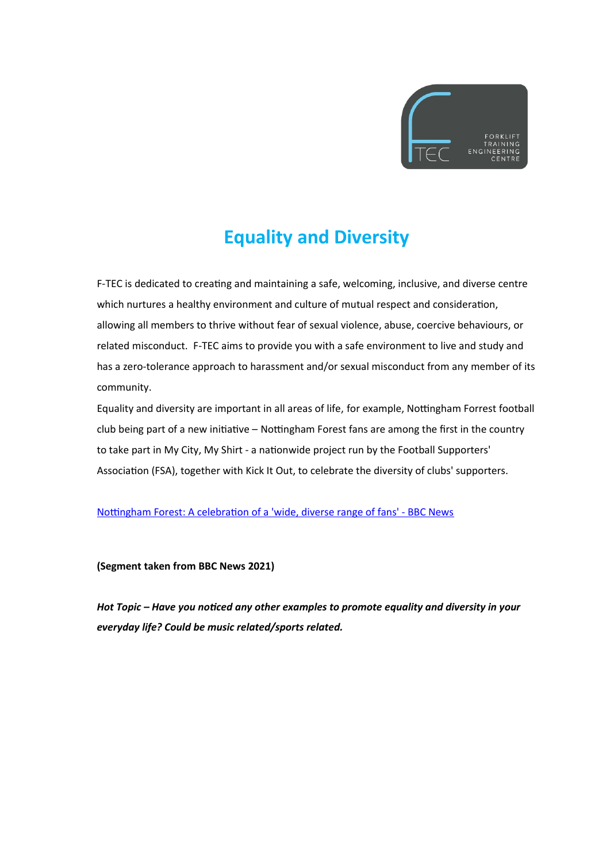

# **Equality and Diversity**

F-TEC is dedicated to creating and maintaining a safe, welcoming, inclusive, and diverse centre which nurtures a healthy environment and culture of mutual respect and consideration, allowing all members to thrive without fear of sexual violence, abuse, coercive behaviours, or related misconduct. F-TEC aims to provide you with a safe environment to live and study and has a zero-tolerance approach to harassment and/or sexual misconduct from any member of its community.

Equality and diversity are important in all areas of life, for example, Nottingham Forrest football club being part of a new initiative – Nottingham Forest fans are among the first in the country to take part in My City, My Shirt - a nationwide project run by the Football Supporters' Association (FSA), together with Kick It Out, to celebrate the diversity of clubs' supporters.

[Nottingham Forest: A celebration of a 'wide, diverse range of fans' - BBC News](https://www.bbc.co.uk/news/av/uk-england-nottinghamshire-58201036)

**(Segment taken from BBC News 2021)**

*Hot Topic – Have you noticed any other examples to promote equality and diversity in your everyday life? Could be music related/sports related.*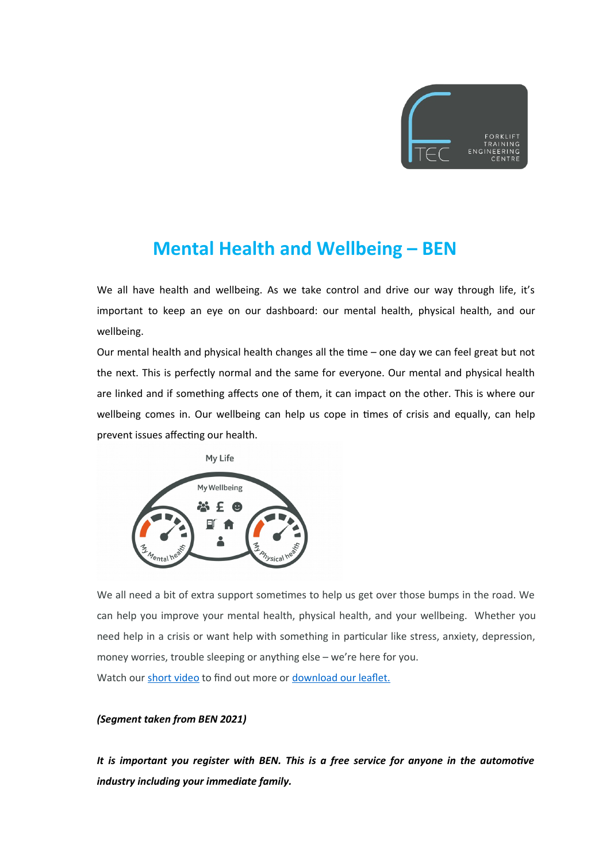

### **Mental Health and Wellbeing – BEN**

We all have health and wellbeing. As we take control and drive our way through life, it's important to keep an eye on our dashboard: our mental health, physical health, and our wellbeing.

Our mental health and physical health changes all the time – one day we can feel great but not the next. This is perfectly normal and the same for everyone. Our mental and physical health are linked and if something affects one of them, it can impact on the other. This is where our wellbeing comes in. Our wellbeing can help us cope in times of crisis and equally, can help prevent issues affecting our health.



We all need a bit of extra support sometimes to help us get over those bumps in the road. We can help you improve your mental health, physical health, and your wellbeing. Whether you need help in a crisis or want help with something in particular like stress, anxiety, depression, money worries, trouble sleeping or anything else – we're here for you. Watch our [short video](https://youtu.be/kt3fPDZuHqU) to find out more or [download our leaflet.](https://ben.org.uk/wp-content/uploads/2020/01/Always-here-for-you-Leaflet-Jan-2020..pdf)

#### *(Segment taken from BEN 2021)*

*It is important you register with BEN. This is a free service for anyone in the automotive industry including your immediate family.*